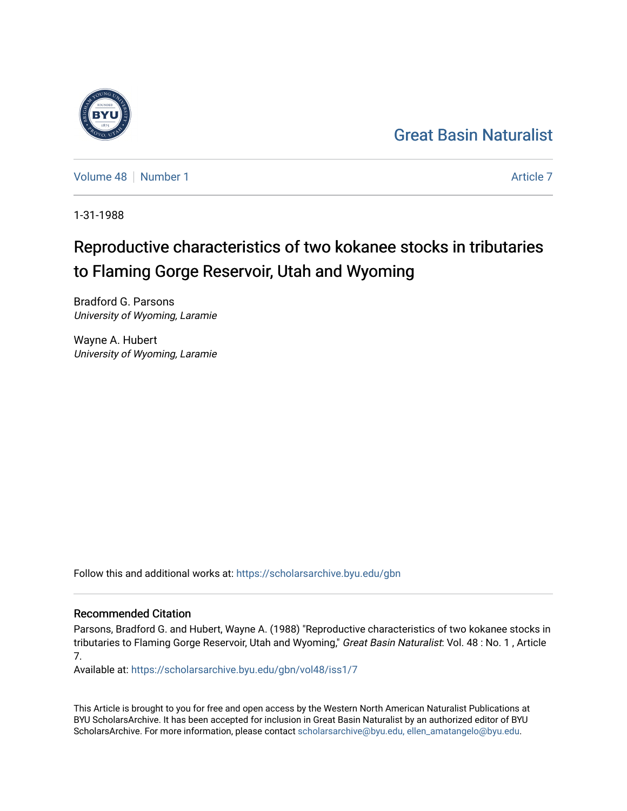# [Great Basin Naturalist](https://scholarsarchive.byu.edu/gbn)

[Volume 48](https://scholarsarchive.byu.edu/gbn/vol48) [Number 1](https://scholarsarchive.byu.edu/gbn/vol48/iss1) [Article 7](https://scholarsarchive.byu.edu/gbn/vol48/iss1/7) Article 7 Article 7 Article 7 Article 7 Article 7 Article 7

1-31-1988

# Reproductive characteristics of two kokanee stocks in tributaries to Flaming Gorge Reservoir, Utah and Wyoming

Bradford G. Parsons University of Wyoming, Laramie

Wayne A. Hubert University of Wyoming, Laramie

Follow this and additional works at: [https://scholarsarchive.byu.edu/gbn](https://scholarsarchive.byu.edu/gbn?utm_source=scholarsarchive.byu.edu%2Fgbn%2Fvol48%2Fiss1%2F7&utm_medium=PDF&utm_campaign=PDFCoverPages) 

# Recommended Citation

Parsons, Bradford G. and Hubert, Wayne A. (1988) "Reproductive characteristics of two kokanee stocks in tributaries to Flaming Gorge Reservoir, Utah and Wyoming," Great Basin Naturalist: Vol. 48 : No. 1, Article 7.

Available at: [https://scholarsarchive.byu.edu/gbn/vol48/iss1/7](https://scholarsarchive.byu.edu/gbn/vol48/iss1/7?utm_source=scholarsarchive.byu.edu%2Fgbn%2Fvol48%2Fiss1%2F7&utm_medium=PDF&utm_campaign=PDFCoverPages)

This Article is brought to you for free and open access by the Western North American Naturalist Publications at BYU ScholarsArchive. It has been accepted for inclusion in Great Basin Naturalist by an authorized editor of BYU ScholarsArchive. For more information, please contact [scholarsarchive@byu.edu, ellen\\_amatangelo@byu.edu.](mailto:scholarsarchive@byu.edu,%20ellen_amatangelo@byu.edu)

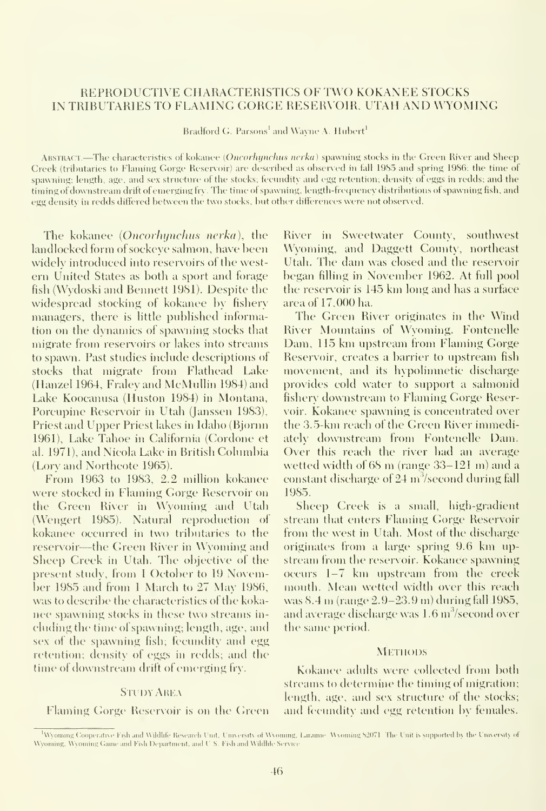## REPRODUCTIVE CHARACTERISTICS OF TWO KOKANEE STOCKS IN TRIBUTARIES TO FLAMING GORGE RESERVOIR, UTAH AND WYOMING

Bradford G. Parsons' and Wayne A. Hubert'

ABSTRACT.—The characteristics of kokanee (Oncorhynchus nerka) spawning stocks in the Green River and Sheep Creek (tributaries to Flaming Gorge Reservoir) are described as observed in fall 1985 and spring 1986; the time of spawning; length, age, and sex structure of the stocks; fecundity and egg retention; density of eggs in redds; and the timing of downstream drift of emerging fry. The time of spawning, length-frequency distributions of spawning fish, and egg density in redds differed between the two stocks, but other differences were not observed.

The kokanee (Oncorhynchus nerka), the landlocked form of sockeye salmon, have been widely introduced into reservoirs of the western United States as both a sport and forage fish (Wydoski and Bennett 1981). Despite the widespread stocking of kokanee by fishery managers, there is little published information on the dynamics of spawning stocks that migrate from reservoirs or lakes into streams to spawn. Past studies include descriptions of stocks that migrate from Flathead Lake (Hanzel 1964, Fraleyand McMullin 1984) and Lake Koocanusa (Huston 1984) in Montana, Porcupine Reservoir in Utah (Janssen 1983), Priest and Upper Priest lakes in Idaho (Bjornn 1961), Lake Tahoe in California (Cordone et al. 1971), and Nicola Lake in British Columbia (Lory and Northcote 1965).

From 1963 to 1983, 2.2 million kokanee were stocked in Flaming Gorge Reservoir on the Green River in Wyoming and Utah (Wengert 1985). Natural reproduction of kokanee occurred in two tributaries to the reservoir—the Green River in Wyoming and Sheep Creek in Utah. The objective of the present study, from <sup>1</sup> October to 19 November 1985 and from <sup>1</sup> March to 27 May 1986, was to describe the characteristics of the koka nee spawning stocks in these two streams in cluding the time of spawning; length, age, and sex of the spawning fish; fecundity and egg retention; density of eggs in redds; and the time of downstream drift of emerging fry.

#### **STUDY AREA**

Flaming Gorge Reservoir is on the Green

River in Sweetwater County, southwest Wyoming, and Daggett County, northeast Utah. The dam was closed and the reservoir began filling in November 1962. At full pool the reservoir is 145 km long and has <sup>a</sup> surface area of 17,000 ha.

The Green River originates in the Wind River Mountains of Wyoming. Fontenelle Dam, 115 km upstream from Flaming Gorge Reservoir, creates a barrier to upstream fish movement, and its hypolimnetic discharge provides cold water to support a salmonid fishery downstream to Flaming Gorge Reservoir. Kokanee spawning isconcentrated over the 3.5-km reach of the Green River immediately downstream from Fontenelle Dam. Over this reach the rixer had an average wetted width of <sup>68</sup> m (range 33-121 m) and <sup>a</sup> constant discharge of  $24 \text{ m}^3/\text{second during fall}$ 1985.

Sheep Creek is a small, high-gradient stream that enters Flaming Gorge Reservoir from the west in Utah. Most of the discharge originates from <sup>a</sup> large spring 9.6 km up stream from the reservoir. Kokanee spawning occurs 1-7 km upstream from the creek mouth. Mean wetted width over this reach was 8.4 m (range 2.9-23.9 m) during fall 1985, and average discharge was 1.6 m<sup>3</sup>/second over the same period.

#### **METHODS**

Kokanee adults were collected from both streams to determine the timing of migration; length, age, and sex structure of the stocks; and fecundity and egg retention by females.

Wyoming Cooperative Fish and Wildlife Research Unit, University of Wyoming, Laramie. Wyoming \$2071. The Unit is supported by the University of Wyoming, Wyoming Game and Fish Department, and U.S. Fish and Wildlife Service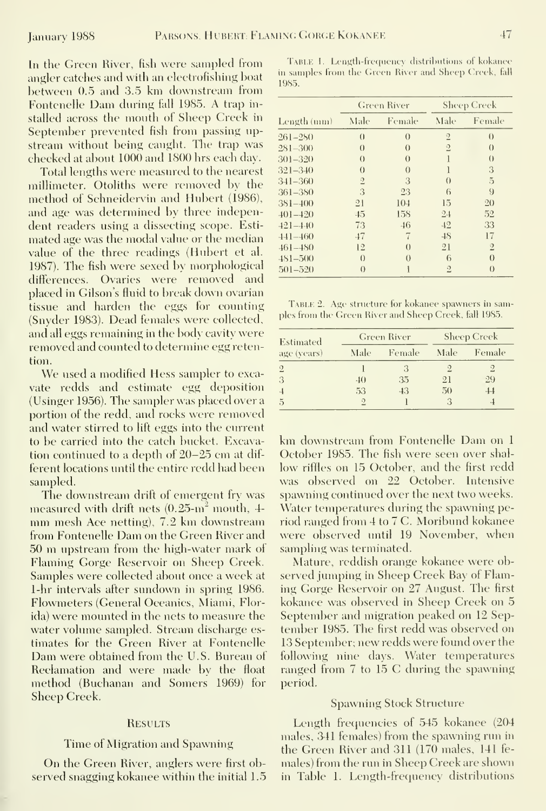In the Green River, fisli were sampled from angler catches and with an electrofishing boat between 0.5 and 3.5 km downstream fiom Fontenelle Dam during fall 1985. A trap in stalled across the mouth of Sheep Creek in September prevented fish from passing up stream without being caught. The trap was checked at about 1000 and 1800 hrs each day.

Total lengths were measured to the nearest millimeter. Otoliths were removed by the method of Schneidervin and Hubert (1986), and age was determined by three independent readers using a dissecting scope. Esti mated age was the modal value or the median value of the three readings (Hubert et al. 1987). The fish were sexed by morphological differences. Ovaries were removed and placed in Gilson's fluid to break down ovarian tissue and harden the eggs for counting TABLE 2. Age structure for kokanee spawners in sam-<br>(Saughan 1082). Dand famalus wave collected ples from the Green River and Sheep Creek, fall 1985. (Snyder 1983). Dead females were collected, and all eggs remaining in the body cavity were removed and counted to determine egg retention.

We used <sup>a</sup> modified Hess sampler to exca vate redds and estimate egg deposition (Usinger 1956). The sampler was placed over a portion of the redd, and rocks were removed and water stirred to lift eggs into the current<br>to be carried into the catch bucket. Excava- km downstream from Fontenelle Dam on 1 to be carried into the catch bucket. Excavation continued to a depth of 20–25 cm at dif-<br>ferent locations until the entire redd had been low riffles on 15 October, and the first redd ferent locations until the entire redd had been sampled.

measured with drift nets (0.25-m<sup>2</sup> mouth, 4- Water temperatures during the spawning pe-<br>mm mesh Ace netting), 7.2 km downstream - riod ranged from 4 to 7 C. Moribund kokanee<br>from Fontenelle Dam on the Green River and - we from Fontenelle Dam on the Green River and were observed until 19<br>50 m upstream from the high-water mark of sampling was terminated. <sup>50</sup> m upstream from the high-water mark of Flaming Gorge Reservoir on Sheep Creek. Samples were collected about once a week at served jumping in Sheep Creek Bay of Flam-<br>1-hr intervals after sundown in spring 1986. ing Gorge Reservoir on 27 August. The first 1-hr intervals after sundown in spring 1986. Ing Gorge Reservoir on 27 August. The first<br>Flowmeters (General Oceanics, Miami, Flor-Illiance was observed in Sheep Creek on 5 Flowmeters (General Oceanics, Miami, Florida) were mounted in the nets to measure the September and migration peaked on 12 Sepwater volume sampled. Stream discharge es-<br>tember 1985. The first redd was observed on timates for the Green River at Fontenelle 13 September; new redds were found over the Dam were obtained from the U.S. Bureau of following nine days. Water temperatures Dam were obtained from the U.S. Bureau of following nine days. Water temperatures<br>Reclamation and were made by the float ranged from 7 to 15 C during the spawning Reclamation and were made by the float method (Buchanan and Somers 1969) for Sheep Creek.

#### **RESULTS**

## Time of Migration and Spawning

On the Green River, anglers were first observed snagging kokanee within the initial 1.5 in Table 1. Length-frequency distributions

TABLE 1. Length-frequency distributions of kokanee in samples from the Green River and Sheep Creek, fall 1985.

|             | <b>Green River</b> |                  | <b>Sheep Creek</b> |                  |
|-------------|--------------------|------------------|--------------------|------------------|
| Length (mm) | Male               | Female           | Male               | Female           |
| $261 - 250$ | $\left( \right)$   | $\theta$         | $\overline{2}$     | $\theta$         |
| 281-300     | $\left( \right)$   | $\theta$         | $\overline{2}$     | $\left( \right)$ |
| 301-320     | $\theta$           | $\theta$         | 1                  | $\left( \right)$ |
| $321 - 340$ | $\theta$           | $\theta$         | 1                  | 3                |
| 341-360     | $\sqrt{2}$         | 3                | $\theta$           | $\tilde{5}$      |
| 361–380     | 3                  | 23               | 6                  | 9                |
| $381 - 400$ | 21                 | 104              | 15                 | 20               |
| $401 - 420$ | 45                 | 158              | 24                 | 52               |
| $421 - 440$ | 73                 | 46               | 42                 | 33               |
| $441 - 460$ | 47                 | 7                | 48                 | 17               |
| $461 - 480$ | 12                 | $\left( \right)$ | 21                 | $\overline{2}$   |
| $481 - 500$ | $\theta$           | $\theta$         | 6                  | $\theta$         |
| $501 - 520$ | $\theta$           |                  | $\overline{2}$     | $\theta$         |

| Estimated<br>age (years) | Green River  |        | <b>Sheep Creek</b> |                          |
|--------------------------|--------------|--------|--------------------|--------------------------|
|                          | Male         | Female | Male               | Female                   |
| $\overline{2}$           |              | 3      |                    |                          |
| 3                        | $40^{\circ}$ | 35     | 21                 | 29                       |
| $\overline{4}$           | 53           | 43     | 50                 | $+4$                     |
| $\overline{5}$           | $\Omega$     |        |                    | $\overline{\mathcal{A}}$ |

was observed on 22 October. Intensive The downstream drift of emergent fry was spawning continued over the next two weeks.<br>easured with drift nets  $(0.25 \text{m}^2 \text{ mouth}, 4)$  Water temperatures during the spawning pe-

Mature, reddish orange kokanee were ob-

#### **Spawning Stock Structure**

Length frequencies of 545 kokanee (204 males, 341 females) from the spawning run in the Green River and 311 (170 males, 141 females) from the run in Sheep Creek are shown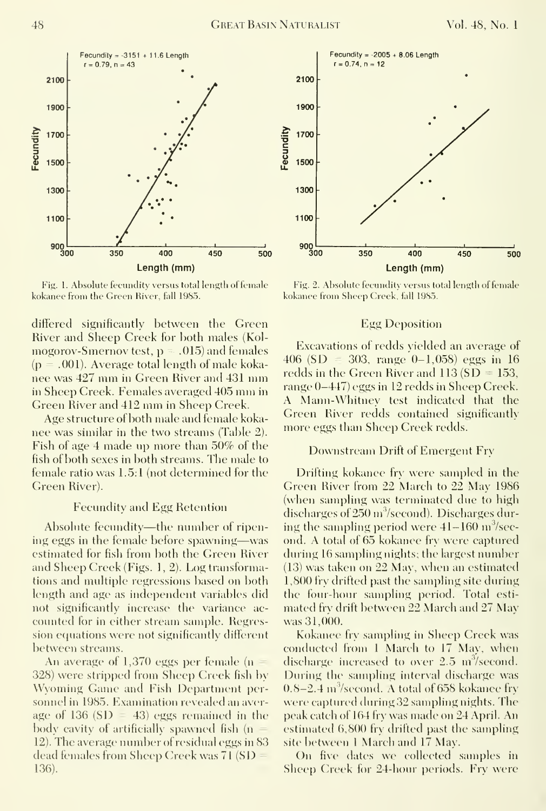

Fig. 1. Absolute fecundity versus total length of female kokanee from the Green River, fall 1985.

differed significantly between the Green River and Sheep Creek for both males (Kolmogorov-Smernov test,  $p = .015$ ) and females  $(p=.001)$ . Average total length of male kokanee was 427 mm in Green River and 431 mm in Sheep Creek. Females averaged 405 mm in Green River and 412 mm in Sheep Creek.

Age structure of both male and female kokanee was similar in the two streams (Table 2). Fish of age 4 made up more than 50% of the fish of both sexes in both streams. The male to female ratio was  $1.5:1$  (not determined for the Green River).

#### **Fecundity and Egg Retention**

Absolute fecundity—the number of ripening eggs in the female before spawning—was estimated for fish from both the Green River and Sheep Creek (Figs. 1, 2). Log transformations and multiple regressions based on both length and age as independent variables did not significantly increase the variance accounted for in either stream sample. Regression equations were not significantly different between streams.

An average of  $1,370$  eggs per female (n) 328) were stripped from Sheep Creek fish by Wyoming Game and Fish Department personnel in 1985. Examination revealed an average of 136 (SD  $=$  43) eggs remained in the body cavity of artificially spawned fish (n 12). The average number of residual eggs in 83 dead females from Sheep Creek was 71 (SD 136).



Fig. 2. Absolute fecundity versus total length of female kokanee from Sheep Creek, fall 1985.

#### **Egg Deposition**

Excavations of redds yielded an average of 406 (SD = 303, range 0–1,058) eggs in 16 redds in the Green River and  $113(SD = 153)$ , range 0-447) eggs in 12 redds in Sheep Creek. A Mann-Whitney test indicated that the Green River redds contained significantly more eggs than Sheep Creek redds.

#### Downstream Drift of Emergent Fry

Drifting kokance fry were sampled in the Green River from 22 March to 22 May 1986 (when sampling was terminated due to high discharges of  $250 \,\mathrm{m}^3/\mathrm{second}$ ). Discharges during the sampling period were  $41-160$  m<sup>3</sup>/second. A total of 65 kokance fry were captured during 16 sampling nights; the largest number (13) was taken on 22 May, when an estimated 1,800 fry drifted past the sampling site during the four-hour sampling period. Total estimated fry drift between 22 March and 27 May was 31,000.

Kokanee fry sampling in Sheep Creek was conducted from 1 March to 17 May, when discharge increased to over 2.5 m<sup>3</sup>/second. During the sampling interval discharge was  $0.8-2.4$  m<sup>3</sup>/second. A total of 658 kokanee fry were captured during 32 sampling nights. The peak catch of 164 fry was made on 24 April. An estimated 6,800 fry drifted past the sampling site between 1 March and 17 May.

On five dates we collected samples in Sheep Creek for 24-hour periods. Fry were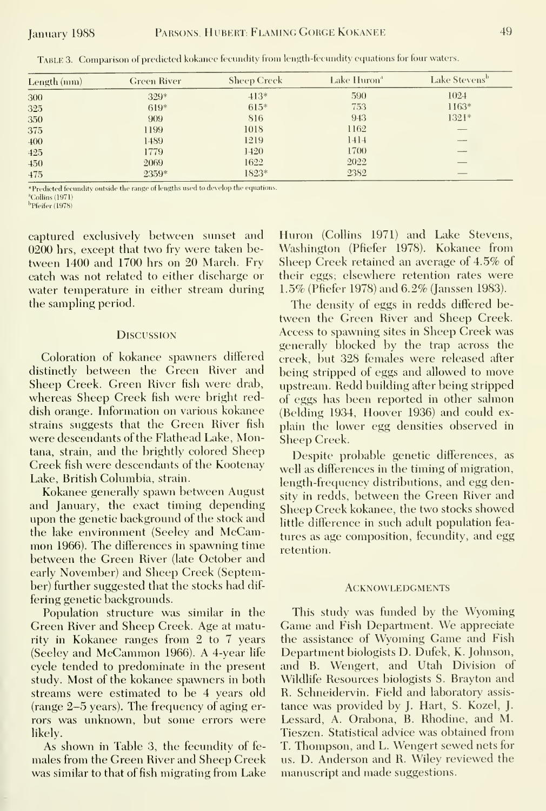| Length (mm) | <b>Green River</b> | <b>Sheep Creck</b> | Lake Huron <sup>a</sup> | Lake Stevens <sup>b</sup> |
|-------------|--------------------|--------------------|-------------------------|---------------------------|
| 300         | 329*               | $413*$             | 590                     | 1024                      |
| 325         | $619*$             | $615*$             | 753                     | $1163*$                   |
| 350         | 909                | 816                | 943                     | $1321*$                   |
| 375         | 1199               | 1018               | 1162                    |                           |
| 400         | 1489               | 1219               | 1414                    |                           |
| 425         | 1779               | 1420               | 1700                    |                           |
| 450         | 2069               | 1622               | 2022                    |                           |
| 475         | 2359*              | 1823*              | 2382                    |                           |

TABLE 3. Comparison of predicted kokance fecundity from length-fecundity equations for four waters.

\*Predicted fecundity outside the range of lengths used to develop the equations. <sup>a</sup>Collins (1971)

 $<sup>b</sup>$  Pfeifer (1978)</sup>

captured exclusively between sunset and 0200 hrs, except that two fry were taken between 1400 and 1700 hrs on 20 March. Fry eatch was not related to either discharge or water temperature in either stream during the sampling period.

#### **DISCUSSION**

Coloration of kokanee spawners differed distinctly between the Green River and Sheep Creek. Green River fish were drab, whereas Sheep Creek fish were bright reddish orange. Information on various kokanee strains suggests that the Green River fish were descendants of the Flathead Lake, Montana, strain, and the brightly colored Sheep Creek fish were descendants of the Kootenay Lake, British Columbia, strain.

Kokanee generally spawn between August and January, the exact timing depending upon the genetic background of the stock and the lake environment (Seeley and McCammon 1966). The differences in spawning time between the Green River (late October and early November) and Sheep Creek (September) further suggested that the stocks had differing genetic backgrounds.

Population structure was similar in the Green River and Sheep Creek. Age at maturity in Kokanee ranges from 2 to 7 years (Seeley and McCammon 1966). A 4-year life evele tended to predominate in the present study. Most of the kokanee spawners in both streams were estimated to be 4 years old (range 2-5 years). The frequency of aging errors was unknown, but some errors were likely.

As shown in Table 3, the fecundity of females from the Green River and Sheep Creek was similar to that of fish migrating from Lake Huron (Collins 1971) and Lake Stevens, Washington (Pfiefer 1978). Kokanee from Sheep Creek retained an average of 4.5% of their eggs; elsewhere retention rates were 1.5% (Pfiefer 1978) and 6.2% (Janssen 1983).

The density of eggs in redds differed between the Green River and Sheep Creek. Access to spawning sites in Sheep Creek was generally blocked by the trap across the creek, but 328 females were released after being stripped of eggs and allowed to move upstream. Redd building after being stripped of eggs has been reported in other salmon (Belding 1934, Hoover 1936) and could explain the lower egg densities observed in Sheep Creek.

Despite probable genetic differences, as well as differences in the timing of migration, length-frequency distributions, and egg density in redds, between the Green River and Sheep Creek kokanee, the two stocks showed little difference in such adult population features as age composition, fecundity, and egg retention.

#### **ACKNOWLEDGMENTS**

This study was funded by the Wyoming Game and Fish Department. We appreciate the assistance of Wyoming Game and Fish Department biologists D. Dufek, K. Johnson, and B. Wengert, and Utah Division of Wildlife Resources biologists S. Brayton and R. Schneidervin. Field and laboratory assistance was provided by J. Hart, S. Kozel, J. Lessard, A. Orabona, B. Rhodine, and M. Tieszen. Statistical advice was obtained from T. Thompson, and L. Wengert sewed nets for us. D. Anderson and R. Wiley reviewed the manuscript and made suggestions.